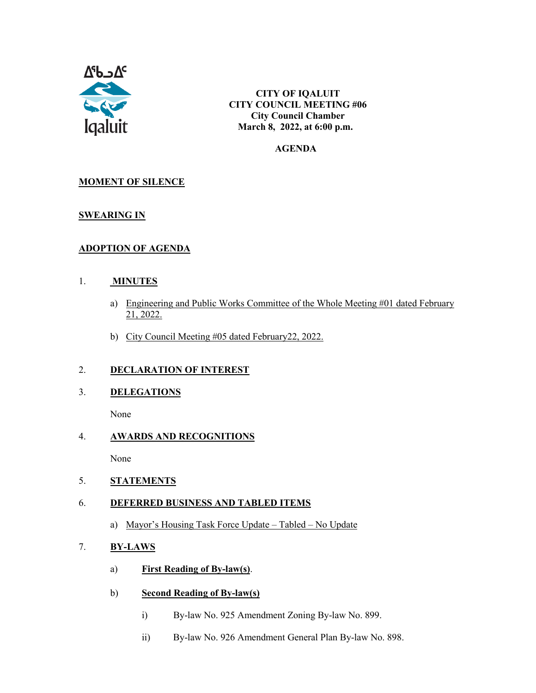

**CITY OF IQALUIT CITY COUNCIL MEETING #06 City Council Chamber March 8, 2022, at 6:00 p.m.**

#### **AGENDA**

## **MOMENT OF SILENCE**

### **SWEARING IN**

### **ADOPTION OF AGENDA**

#### 1. **MINUTES**

- a) Engineering and Public Works Committee of the Whole Meeting #01 dated February 21, 2022.
- b) City Council Meeting #05 dated February22, 2022.

### 2. **DECLARATION OF INTEREST**

3. **DELEGATIONS**

None

#### 4. **AWARDS AND RECOGNITIONS**

None

### 5. **STATEMENTS**

### 6. **DEFERRED BUSINESS AND TABLED ITEMS**

a) Mayor's Housing Task Force Update – Tabled – No Update

#### 7. **BY-LAWS**

- a) **First Reading of By-law(s)**.
- b) **Second Reading of By-law(s)**
	- i) By-law No. 925 Amendment Zoning By-law No. 899.
	- ii) By-law No. 926 Amendment General Plan By-law No. 898.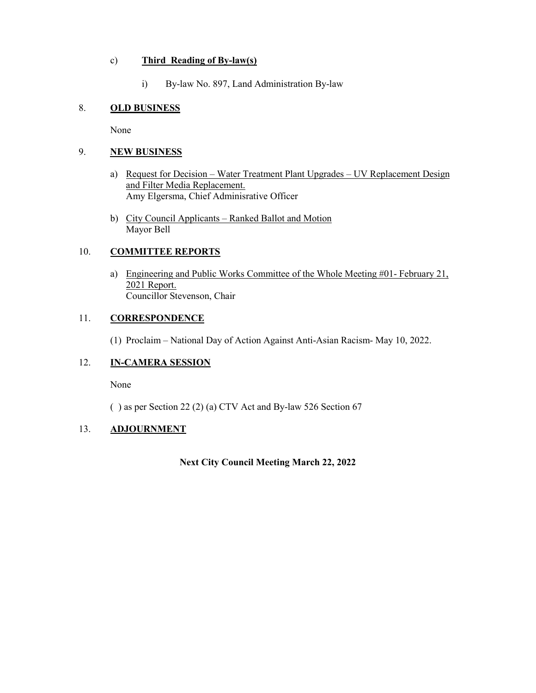#### c) **Third Reading of By-law(s)**

i) By-law No. 897, Land Administration By-law

## 8. **OLD BUSINESS**

None

### 9. **NEW BUSINESS**

- a) Request for Decision Water Treatment Plant Upgrades UV Replacement Design and Filter Media Replacement. Amy Elgersma, Chief Adminisrative Officer
- b) City Council Applicants Ranked Ballot and Motion Mayor Bell

#### 10. **COMMITTEE REPORTS**

a) Engineering and Public Works Committee of the Whole Meeting #01- February 21, 2021 Report. Councillor Stevenson, Chair

#### 11. **CORRESPONDENCE**

(1) Proclaim – National Day of Action Against Anti-Asian Racism- May 10, 2022.

## 12. **IN-CAMERA SESSION**

None

( ) as per Section 22 (2) (a) CTV Act and By-law 526 Section 67

## 13. **ADJOURNMENT**

**Next City Council Meeting March 22, 2022**